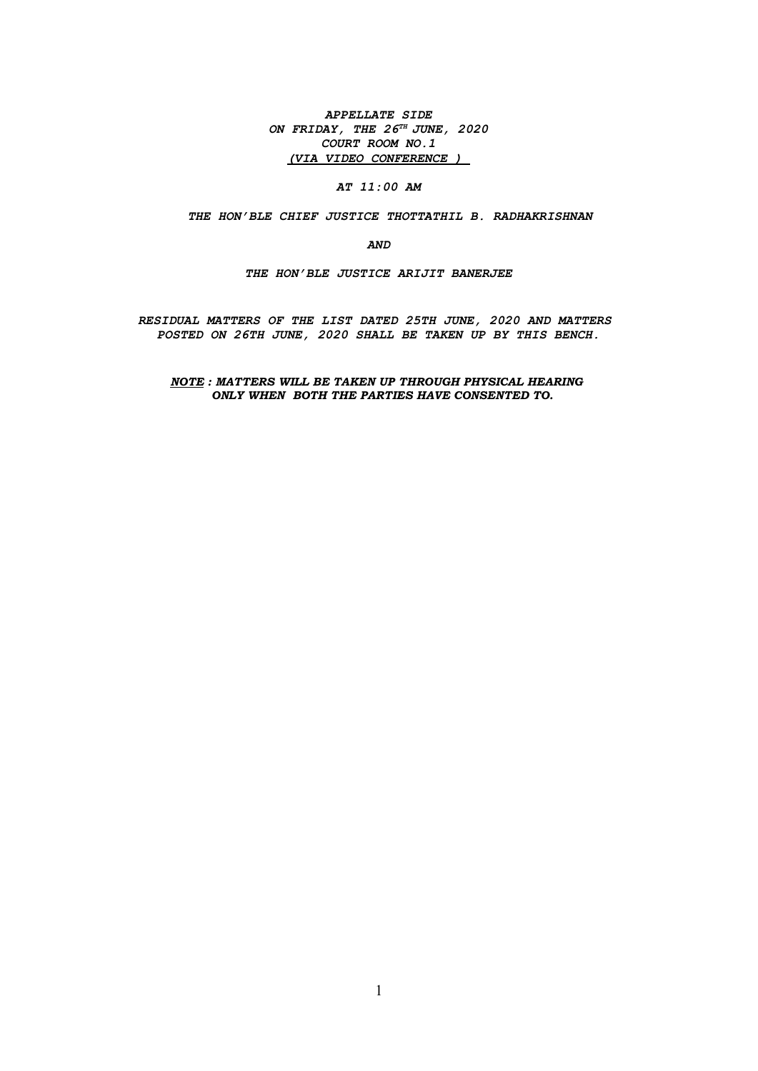APPELLATE SIDE ON FRIDAY, THE  $26^{TH}$  JUNE,  $2020$ COURT ROOM NO.1 (VIA VIDEO CONFERENCE )

AT 11:00 AM

THE HON'BLE CHIEF JUSTICE THOTTATHIL B. RADHAKRISHNAN

AND

THE HON'BLE JUSTICE ARIJIT BANERJEE

RESIDUAL MATTERS OF THE LIST DATED 25TH JUNE, 2020 AND MATTERS POSTED ON 26TH JUNE, 2020 SHALL BE TAKEN UP BY THIS BENCH.

NOTE : MATTERS WILL BE TAKEN UP THROUGH PHYSICAL HEARING ONLY WHEN BOTH THE PARTIES HAVE CONSENTED TO.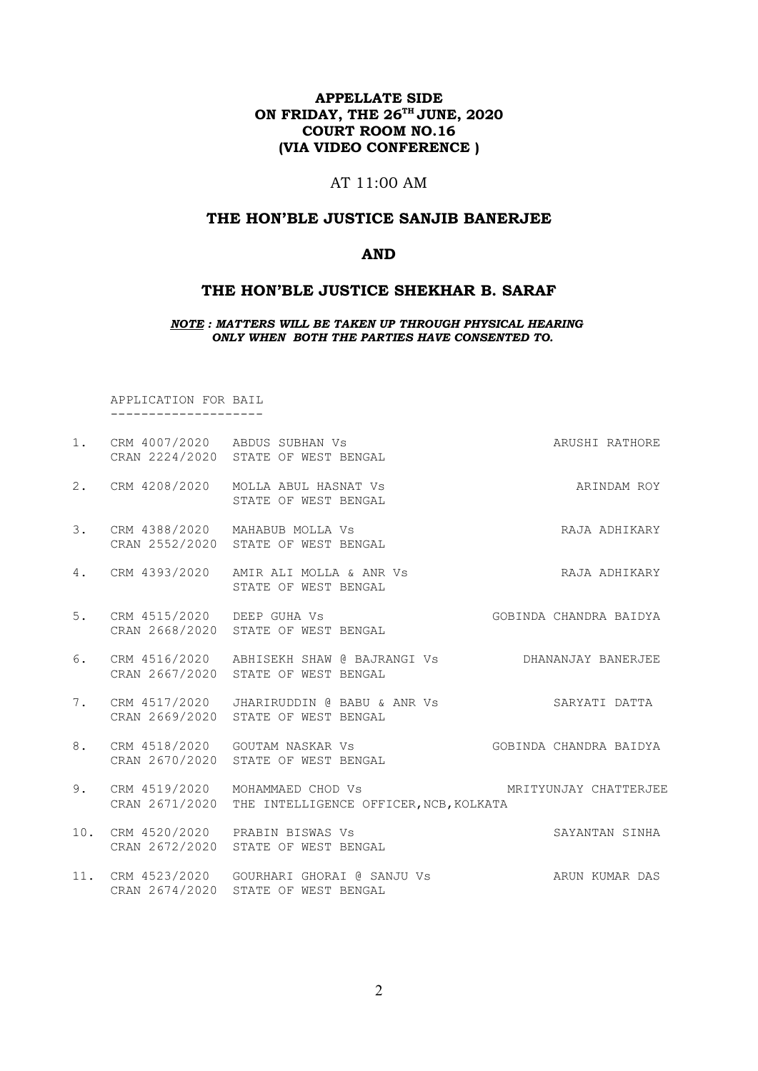# APPELLATE SIDE ON FRIDAY, THE 26<sup>TH</sup> JUNE, 2020 COURT ROOM NO.16 (VIA VIDEO CONFERENCE )

# AT 11:00 AM

### THE HON'BLE JUSTICE SANJIB BANERJEE

### AND

### THE HON'BLE JUSTICE SHEKHAR B. SARAF

NOTE : MATTERS WILL BE TAKEN UP THROUGH PHYSICAL HEARING ONLY WHEN BOTH THE PARTIES HAVE CONSENTED TO.

 APPLICATION FOR BAIL --------------------

| 1.  |                                 | CRM 4007/2020 ABDUS SUBHAN Vs<br>CRAN 2224/2020 STATE OF WEST BENGAL                                | ARUSHI RATHORE         |
|-----|---------------------------------|-----------------------------------------------------------------------------------------------------|------------------------|
| 2.  | CRM 4208/2020                   | MOLLA ABUL HASNAT VS<br>STATE OF WEST BENGAL                                                        | ARINDAM ROY            |
| 3.  |                                 | CRM 4388/2020 MAHABUB MOLLA Vs<br>CRAN 2552/2020 STATE OF WEST BENGAL                               | RAJA ADHIKARY          |
| 4.  | CRM 4393/2020                   | AMIR ALI MOLLA & ANR Vs<br>STATE OF WEST BENGAL                                                     | RAJA ADHIKARY          |
| 5.  | CRM 4515/2020 DEEP GUHA Vs      | CRAN 2668/2020 STATE OF WEST BENGAL                                                                 | GOBINDA CHANDRA BAIDYA |
| 6.  |                                 | CRM 4516/2020 ABHISEKH SHAW @ BAJRANGI Vs DHANANJAY BANERJEE<br>CRAN 2667/2020 STATE OF WEST BENGAL |                        |
| 7.  |                                 | CRM 4517/2020 JHARIRUDDIN @ BABU & ANR Vs<br>CRAN 2669/2020 STATE OF WEST BENGAL                    | SARYATI DATTA          |
| 8.  |                                 | CRM 4518/2020 GOUTAM NASKAR Vs<br>CRAN 2670/2020 STATE OF WEST BENGAL                               | GOBINDA CHANDRA BAIDYA |
| 9.  | CRM 4519/2020<br>CRAN 2671/2020 | MOHAMMAED CHOD Vs<br>THE INTELLIGENCE OFFICER, NCB, KOLKATA                                         | MRITYUNJAY CHATTERJEE  |
| 10. |                                 | CRM 4520/2020 PRABIN BISWAS Vs<br>CRAN 2672/2020 STATE OF WEST BENGAL                               | SAYANTAN SINHA         |
|     |                                 | 11. CRM 4523/2020 GOURHARI GHORAI @ SANJU Vs<br>CRAN 2674/2020 STATE OF WEST BENGAL                 | ARUN KUMAR DAS         |
|     |                                 |                                                                                                     |                        |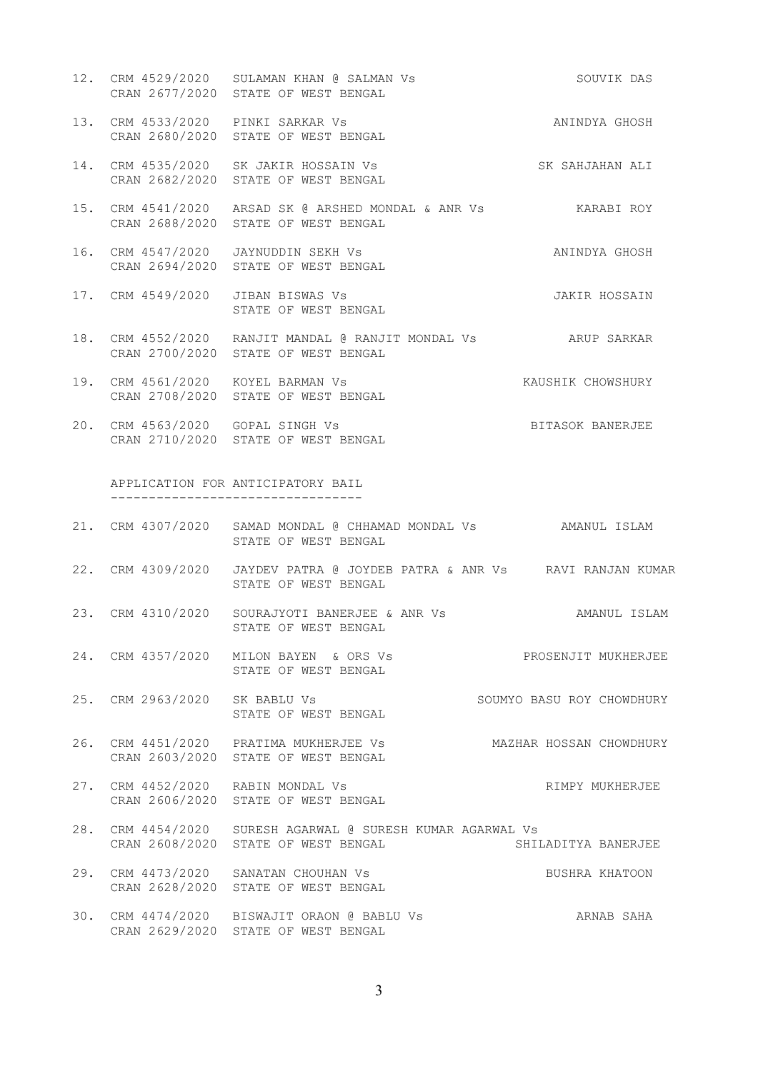- 12. CRM 4529/2020 SULAMAN KHAN @ SALMAN Vs SOUVIK DAS CRAN 2677/2020 STATE OF WEST BENGAL
- 13. CRM 4533/2020 PINKI SARKAR Vs ANINDYA GHOSH CRAN 2680/2020 STATE OF WEST BENGAL
- 14. CRM 4535/2020 SK JAKIR HOSSAIN Vs SK SAHJAHAN ALI CRAN 2682/2020 STATE OF WEST BENGAL
- 15. CRM 4541/2020 ARSAD SK @ ARSHED MONDAL & ANR Vs KARABI ROY CRAN 2688/2020 STATE OF WEST BENGAL
- 16. CRM 4547/2020 JAYNUDDIN SEKH Vs ANINDYA GHOSH CRAN 2694/2020 STATE OF WEST BENGAL
- 17. CRM 4549/2020 JIBAN BISWAS Vs JAKIR HOSSAIN STATE OF WEST BENGAL
- 18. CRM 4552/2020 RANJIT MANDAL @ RANJIT MONDAL Vs ARUP SARKAR CRAN 2700/2020 STATE OF WEST BENGAL
- 19. CRM 4561/2020 KOYEL BARMAN Vs KAUSHIK CHOWSHURY CRAN 2708/2020 STATE OF WEST BENGAL
- 20. CRM 4563/2020 GOPAL SINGH Vs BITASOK BANERJEE CRAN 2710/2020 STATE OF WEST BENGAL

 APPLICATION FOR ANTICIPATORY BAIL ---------------------------------

- 21. CRM 4307/2020 SAMAD MONDAL @ CHHAMAD MONDAL Vs AMANUL ISLAM STATE OF WEST BENGAL
- 22. CRM 4309/2020 JAYDEV PATRA @ JOYDEB PATRA & ANR Vs RAVI RANJAN KUMAR STATE OF WEST BENGAL
- 23. CRM 4310/2020 SOURAJYOTI BANERJEE & ANR Vs AMANUL ISLAM STATE OF WEST BENGAL
- 24. CRM 4357/2020 MILON BAYEN & ORS Vs PROSENJIT MUKHERJEE STATE OF WEST BENGAL
- 25. CRM 2963/2020 SK BABLU Vs SOUMYO BASU ROY CHOWDHURY STATE OF WEST BENGAL
- 26. CRM 4451/2020 PRATIMA MUKHERJEE Vs MAZHAR HOSSAN CHOWDHURY CRAN 2603/2020 STATE OF WEST BENGAL
- 27. CRM 4452/2020 RABIN MONDAL Vs RIMPY MUKHERJEE CRAN 2606/2020 STATE OF WEST BENGAL
- 28. CRM 4454/2020 SURESH AGARWAL @ SURESH KUMAR AGARWAL Vs<br>CRAN 2608/2020 STATE OF WEST BENGAL 6 SHILADITYA BANERJEE CRAN 2608/2020 STATE OF WEST BENGAL
- 29. CRM 4473/2020 SANATAN CHOUHAN Vs BUSHRA KHATOON CRAN 2628/2020 STATE OF WEST BENGAL
- 30. CRM 4474/2020 BISWAJIT ORAON @ BABLU Vs ARNAB SAHA CRAN 2629/2020 STATE OF WEST BENGAL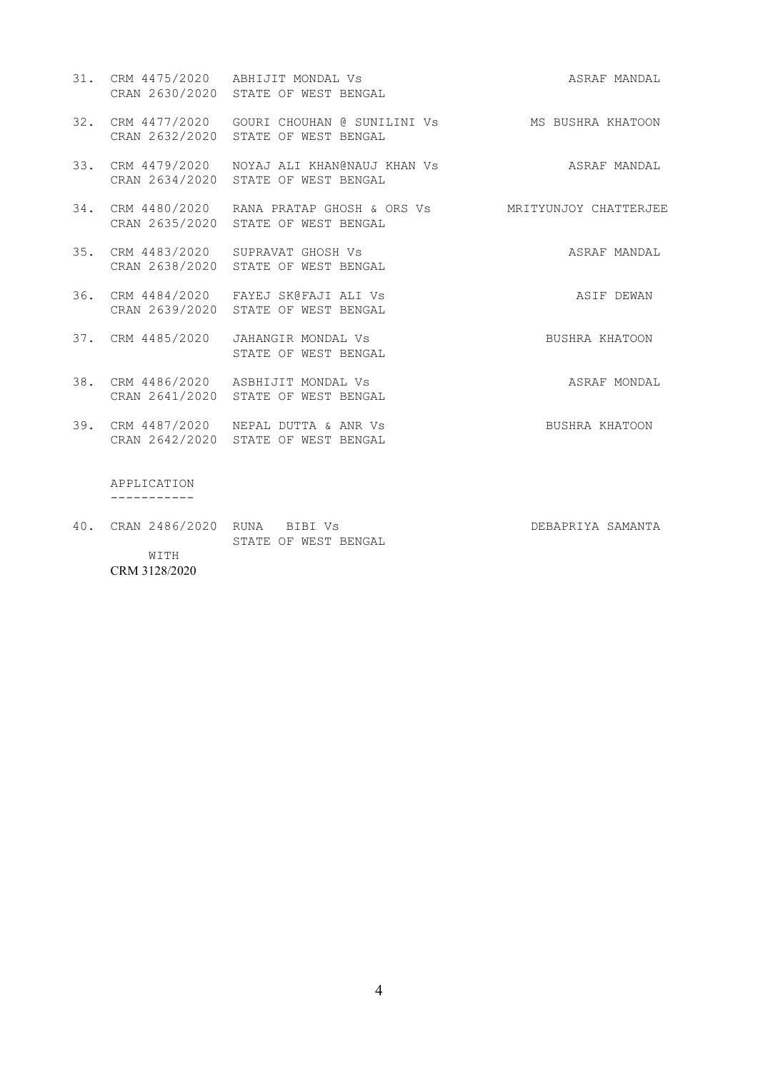|                                 | 31. CRM 4475/2020 ABHIJIT MONDAL Vs<br>CRAN 2630/2020 STATE OF WEST BENGAL                                | ASRAF MANDAL      |
|---------------------------------|-----------------------------------------------------------------------------------------------------------|-------------------|
|                                 | 32. CRM 4477/2020 GOURI CHOUHAN @ SUNILINI Vs MS BUSHRA KHATOON<br>CRAN 2632/2020 STATE OF WEST BENGAL    |                   |
|                                 | 33. CRM 4479/2020 NOYAJ ALI KHAN@NAUJ KHAN Vs ASRAF MANDAL<br>CRAN 2634/2020 STATE OF WEST BENGAL         |                   |
|                                 | 34. CRM 4480/2020 RANA PRATAP GHOSH & ORS Vs MRITYUNJOY CHATTERJEE<br>CRAN 2635/2020 STATE OF WEST BENGAL |                   |
|                                 | 35. CRM 4483/2020 SUPRAVAT GHOSH Vs<br>CRAN 2638/2020 STATE OF WEST BENGAL                                | ASRAF MANDAL      |
|                                 | 36. CRM 4484/2020 FAYEJ SK@FAJI ALI Vs<br>CRAN 2639/2020 STATE OF WEST BENGAL                             | ASIF DEWAN        |
|                                 | 37. CRM 4485/2020 JAHANGIR MONDAL Vs<br>STATE OF WEST BENGAL                                              | BUSHRA KHATOON    |
|                                 | 38. CRM 4486/2020 ASBHIJIT MONDAL Vs<br>CRAN 2641/2020 STATE OF WEST BENGAL                               | ASRAF MONDAL      |
|                                 | 39. CRM 4487/2020 NEPAL DUTTA & ANR Vs<br>CRAN 2642/2020 STATE OF WEST BENGAL                             | BUSHRA KHATOON    |
| APPLICATION                     |                                                                                                           |                   |
| 40. CRAN 2486/2020 RUNA BIBI Vs | STATE OF WEST BENGAL                                                                                      | DEBAPRIYA SAMANTA |

 WITH CRM 3128/2020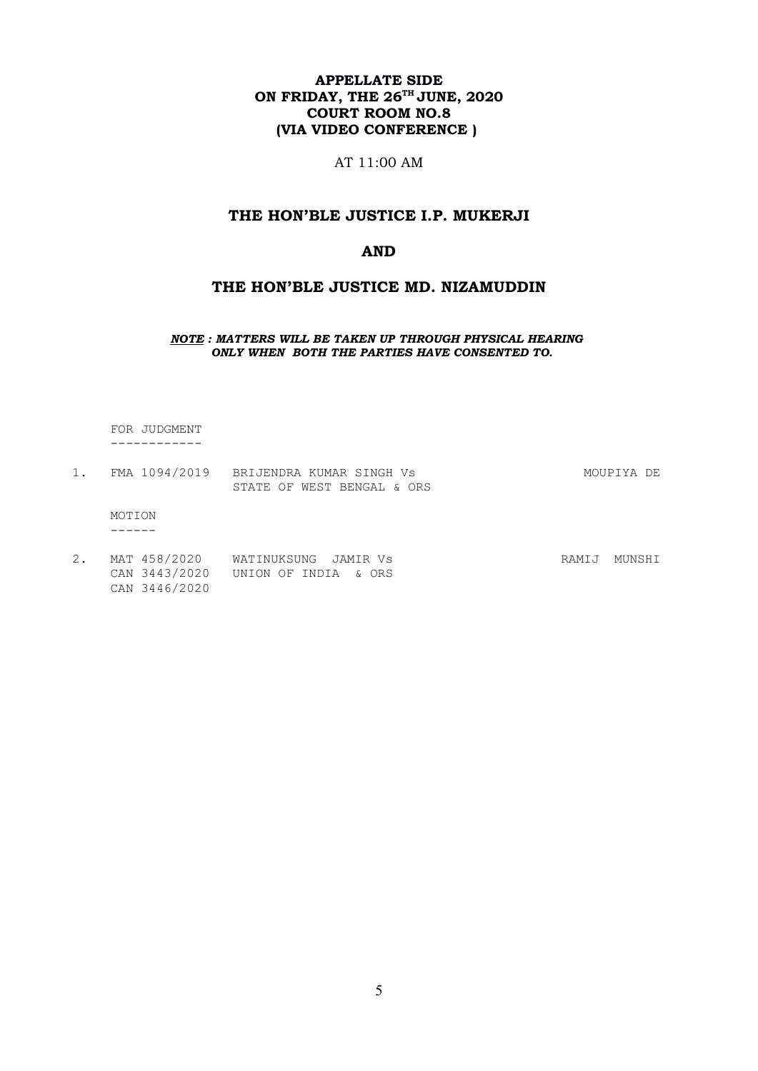# APPELLATE SIDE ON FRIDAY, THE  $26^{\text{th}}$  JUNE,  $2020$ COURT ROOM NO.8 (VIA VIDEO CONFERENCE )

AT 11:00 AM

# THE HON'BLE JUSTICE I.P. MUKERJI

## AND

# THE HON'BLE JUSTICE MD. NIZAMUDDIN

NOTE : MATTERS WILL BE TAKEN UP THROUGH PHYSICAL HEARING ONLY WHEN BOTH THE PARTIES HAVE CONSENTED TO.

 FOR JUDGMENT ------------

|        | FMA 1094/2019 BRIJENDRA KUMAR SINGH VS | MOUPIYA DE |  |
|--------|----------------------------------------|------------|--|
|        | STATE OF WEST BENGAL & ORS             |            |  |
| MOTION |                                        |            |  |
|        |                                        |            |  |
|        |                                        |            |  |

2. MAT 458/2020 WATINUKSUNG JAMIR Vs Sand Communist RAMIJ MUNSHI CAN 3443/2020 UNION OF INDIA & ORS CAN 3446/2020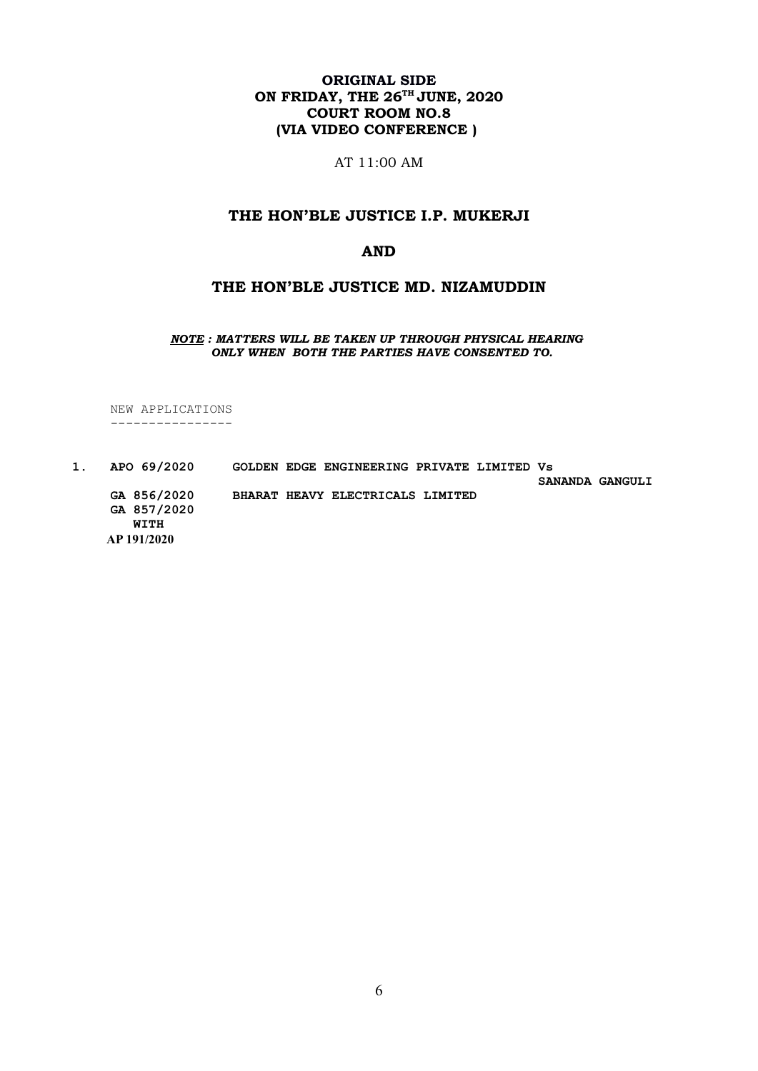# ORIGINAL SIDE ON FRIDAY, THE  $26^{\text{th}}$  JUNE,  $2020$ COURT ROOM NO.8 (VIA VIDEO CONFERENCE )

AT 11:00 AM

# THE HON'BLE JUSTICE I.P. MUKERJI

### AND

# THE HON'BLE JUSTICE MD. NIZAMUDDIN

NOTE : MATTERS WILL BE TAKEN UP THROUGH PHYSICAL HEARING ONLY WHEN BOTH THE PARTIES HAVE CONSENTED TO.

 NEW APPLICATIONS ----------------

1. APO 69/2020 GOLDEN EDGE ENGINEERING PRIVATE LIMITED Vs SANANDA GANGULI GA 856/2020 BHARAT HEAVY ELECTRICALS LIMITED GA 857/2020 WITH AP 191/2020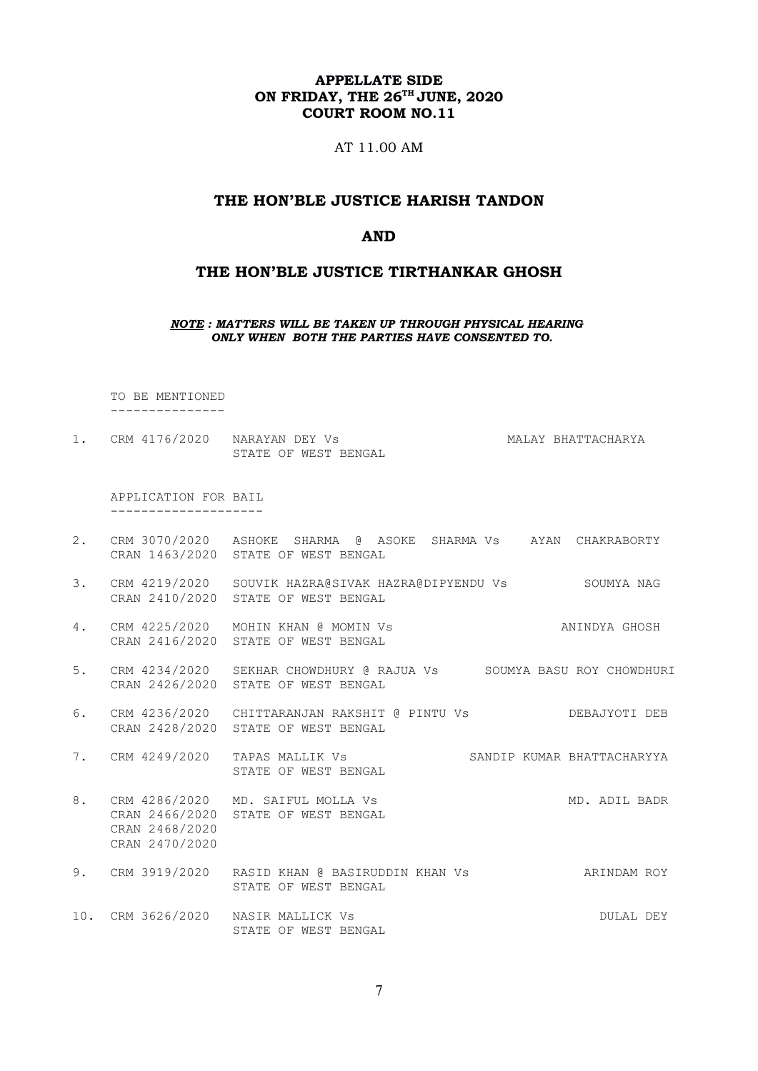## APPELLATE SIDE ON FRIDAY, THE 26<sup>TH</sup> JUNE, 2020 COURT ROOM NO.11

### AT 11.00 AM

#### THE HON'BLE JUSTICE HARISH TANDON

#### AND

### THE HON'BLE JUSTICE TIRTHANKAR GHOSH

NOTE : MATTERS WILL BE TAKEN UP THROUGH PHYSICAL HEARING ONLY WHEN BOTH THE PARTIES HAVE CONSENTED TO.

 TO BE MENTIONED ---------------

1. CRM 4176/2020 NARAYAN DEY Vs MALAY BHATTACHARYA STATE OF WEST BENGAL

 APPLICATION FOR BAIL --------------------

- 2. CRM 3070/2020 ASHOKE SHARMA @ ASOKE SHARMA Vs AYAN CHAKRABORTY CRAN 1463/2020 STATE OF WEST BENGAL
- 3. CRM 4219/2020 SOUVIK HAZRA@SIVAK HAZRA@DIPYENDU Vs SOUMYA NAG CRAN 2410/2020 STATE OF WEST BENGAL
- 4. CRM 4225/2020 MOHIN KHAN @ MOMIN Vs ANINDYA GHOSH CRAN 2416/2020 STATE OF WEST BENGAL
- 5. CRM 4234/2020 SEKHAR CHOWDHURY @ RAJUA Vs SOUMYA BASU ROY CHOWDHURI CRAN 2426/2020 STATE OF WEST BENGAL
- 6. CRM 4236/2020 CHITTARANJAN RAKSHIT @ PINTU Vs DEBAJYOTI DEB CRAN 2428/2020 STATE OF WEST BENGAL
- 7. CRM 4249/2020 TAPAS MALLIK Vs SANDIP KUMAR BHATTACHARYYA TAPAS MALLIK Vs<br>STATE OF WEST BENGAL
- 8. CRM 4286/2020 MD. SAIFUL MOLLA Vs MD. ADIL BADR CRAN 2466/2020 STATE OF WEST BENGAL CRAN 2468/2020 CRAN 2470/2020
- 9. CRM 3919/2020 RASID KHAN @ BASIRUDDIN KHAN Vs ARINDAM ROY STATE OF WEST BENGAL
- 10. CRM 3626/2020 NASIR MALLICK Vs DULAL DEY STATE OF WEST BENGAL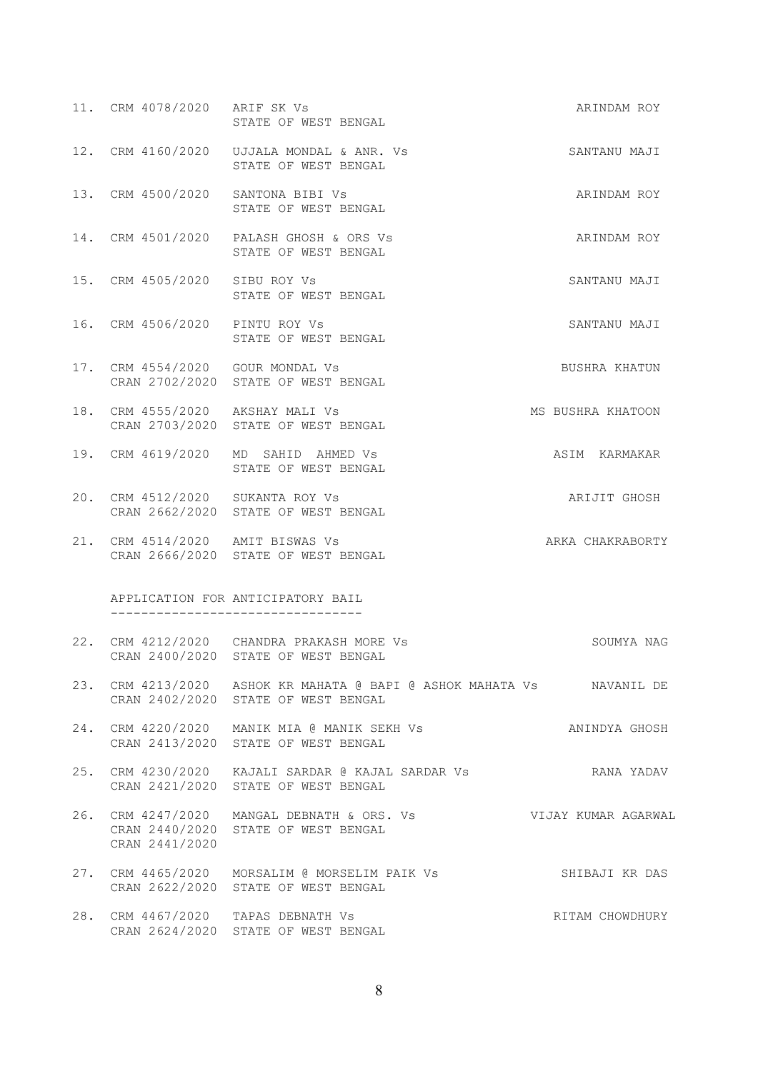| 11. CRM 4078/2020 ARIF SK Vs     | STATE OF WEST BENGAL                                                                                         | ARINDAM ROY       |
|----------------------------------|--------------------------------------------------------------------------------------------------------------|-------------------|
|                                  | 12. CRM 4160/2020 UJJALA MONDAL & ANR. Vs<br>STATE OF WEST BENGAL                                            | SANTANU MAJI      |
|                                  | 13. CRM 4500/2020 SANTONA BIBI Vs<br>STATE OF WEST BENGAL                                                    | ARINDAM ROY       |
|                                  | 14. CRM 4501/2020 PALASH GHOSH & ORS Vs<br>STATE OF WEST BENGAL                                              | ARINDAM ROY       |
| 15. CRM 4505/2020 SIBU ROY Vs    | STATE OF WEST BENGAL                                                                                         | SANTANU MAJI      |
| 16. CRM 4506/2020 PINTU ROY Vs   | STATE OF WEST BENGAL                                                                                         | SANTANU MAJI      |
| 17. CRM 4554/2020 GOUR MONDAL Vs | CRAN 2702/2020 STATE OF WEST BENGAL                                                                          | BUSHRA KHATUN     |
| 18. CRM 4555/2020 AKSHAY MALI Vs | CRAN 2703/2020 STATE OF WEST BENGAL                                                                          | MS BUSHRA KHATOON |
|                                  | 19. CRM 4619/2020 MD SAHID AHMED Vs<br>STATE OF WEST BENGAL                                                  | ASIM KARMAKAR     |
| 20. CRM 4512/2020 SUKANTA ROY Vs | CRAN 2662/2020 STATE OF WEST BENGAL                                                                          | ARIJIT GHOSH      |
|                                  | 21. CRM 4514/2020 AMIT BISWAS Vs<br>CRAN 2666/2020 STATE OF WEST BENGAL                                      | ARKA CHAKRABORTY  |
|                                  | APPLICATION FOR ANTICIPATORY BAIL<br>----------------------------------                                      |                   |
|                                  | 22. CRM 4212/2020 CHANDRA PRAKASH MORE Vs<br>CRAN 2400/2020 STATE OF WEST BENGAL                             | SOUMYA NAG        |
|                                  | 23. CRM 4213/2020 ASHOK KR MAHATA @ BAPI @ ASHOK MAHATA Vs MAVANIL DE<br>CRAN 2402/2020 STATE OF WEST BENGAL |                   |
|                                  | 24. CRM 4220/2020 MANIK MIA @ MANIK SEKH Vs<br>CRAN 2413/2020 STATE OF WEST BENGAL                           | ANINDYA GHOSH     |
|                                  | CRAN 2421/2020 STATE OF WEST BENGAL                                                                          |                   |
| CRAN 2441/2020                   | 26. CRM 4247/2020 MANGAL DEBNATH & ORS. Vs Sand Mujay KUMAR AGARWAL<br>CRAN 2440/2020 STATE OF WEST BENGAL   |                   |
|                                  | 27. CRM 4465/2020 MORSALIM @ MORSELIM PAIK Vs SHIBAJI KR DAS<br>CRAN 2622/2020 STATE OF WEST BENGAL          |                   |
|                                  | 28. CRM 4467/2020 TAPAS DEBNATH Vs<br>CRAN 2624/2020 STATE OF WEST BENGAL                                    | RITAM CHOWDHURY   |
|                                  |                                                                                                              |                   |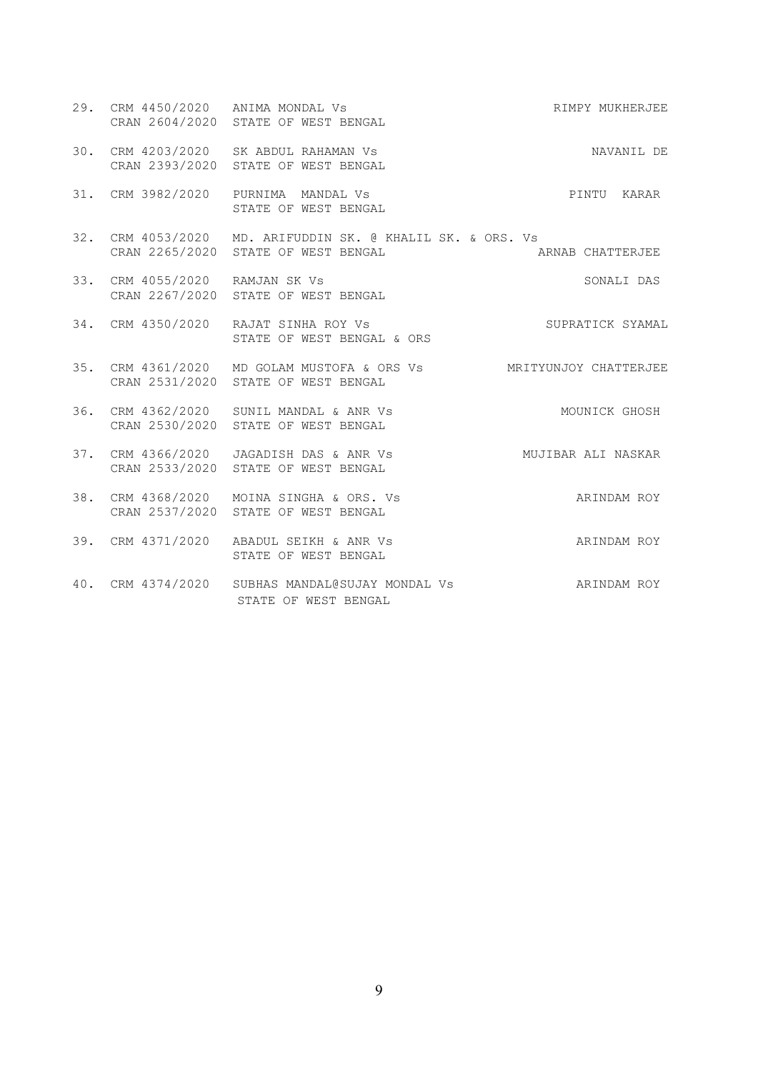|     |                                | 29. CRM 4450/2020 ANIMA MONDAL Vs<br>CRAN 2604/2020 STATE OF WEST BENGAL                                 | RIMPY MUKHERJEE  |
|-----|--------------------------------|----------------------------------------------------------------------------------------------------------|------------------|
|     |                                | 30. CRM 4203/2020 SK ABDUL RAHAMAN Vs<br>CRAN 2393/2020 STATE OF WEST BENGAL                             | NAVANIL DE       |
|     |                                | 31. CRM 3982/2020 PURNIMA MANDAL Vs<br>STATE OF WEST BENGAL                                              | PINTU KARAR      |
|     |                                | 32. CRM 4053/2020 MD. ARIFUDDIN SK. @ KHALIL SK. & ORS. Vs<br>CRAN 2265/2020 STATE OF WEST BENGAL        | ARNAB CHATTERJEE |
|     | 33. CRM 4055/2020 RAMJAN SK Vs | CRAN 2267/2020 STATE OF WEST BENGAL                                                                      | SONALI DAS       |
|     |                                | 34. CRM 4350/2020 RAJAT SINHA ROY Vs<br>STATE OF WEST BENGAL & ORS                                       | SUPRATICK SYAMAL |
|     |                                | 35. CRM 4361/2020 MD GOLAM MUSTOFA & ORS Vs MRITYUNJOY CHATTERJEE<br>CRAN 2531/2020 STATE OF WEST BENGAL |                  |
|     |                                | 36. CRM 4362/2020 SUNIL MANDAL & ANR Vs<br>CRAN 2530/2020 STATE OF WEST BENGAL                           | MOUNICK GHOSH    |
| 37. |                                | CRM 4366/2020 JAGADISH DAS & ANR Vs MUJIBAR ALI NASKAR<br>CRAN 2533/2020 STATE OF WEST BENGAL            |                  |
| 38. |                                | CRM 4368/2020 MOINA SINGHA & ORS. Vs<br>CRAN 2537/2020 STATE OF WEST BENGAL                              | ARINDAM ROY      |
|     |                                | 39. CRM 4371/2020 ABADUL SEIKH & ANR Vs<br>STATE OF WEST BENGAL                                          | ARINDAM ROY      |
|     |                                | 40. CRM 4374/2020 SUBHAS MANDAL@SUJAY MONDAL Vs<br>STATE OF WEST BENGAL                                  | ARINDAM ROY      |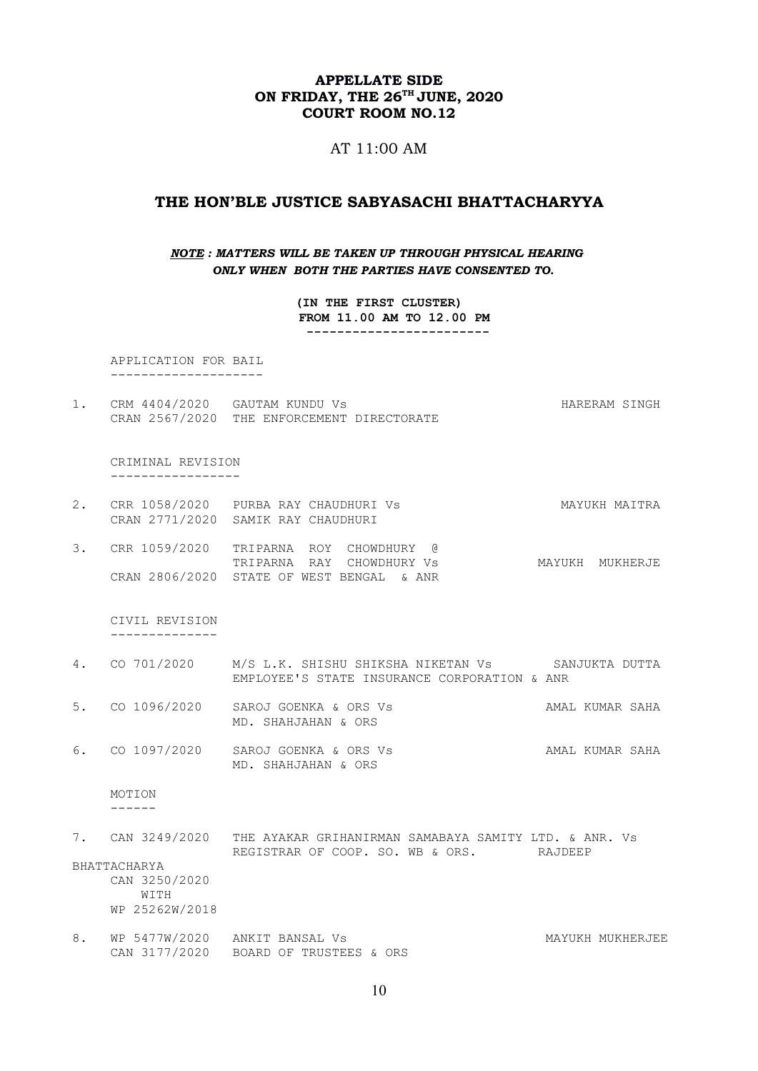## APPELLATE SIDE ON FRIDAY, THE 26<sup>TH</sup> JUNE, 2020 COURT ROOM NO.12

### AT 11:00 AM

### THE HON'BLE JUSTICE SABYASACHI BHATTACHARYYA

### NOTE : MATTERS WILL BE TAKEN UP THROUGH PHYSICAL HEARING ONLY WHEN BOTH THE PARTIES HAVE CONSENTED TO.

(IN THE FIRST CLUSTER) FROM 11.00 AM TO 12.00 PM ------------------------

 APPLICATION FOR BAIL --------------------

1. CRM 4404/2020 GAUTAM KUNDU Vs Sand Control of the HARERAM SINGH CRAN 2567/2020 THE ENFORCEMENT DIRECTORATE

 CRIMINAL REVISION -----------------

- 2. CRR 1058/2020 PURBA RAY CHAUDHURI Vs MAYUKH MAITRA CRAN 2771/2020 SAMIK RAY CHAUDHURI
- 3. CRR 1059/2020 TRIPARNA ROY CHOWDHURY @ TRIPARNA RAY CHOWDHURY Vs MAYUKH MUKHERJE CRAN 2806/2020 STATE OF WEST BENGAL & ANR

 CIVIL REVISION --------------

- 4. CO 701/2020 M/S L.K. SHISHU SHIKSHA NIKETAN Vs SANJUKTA DUTTA EMPLOYEE'S STATE INSURANCE CORPORATION & ANR
- 5. CO 1096/2020 SAROJ GOENKA & ORS Vs AMAL KUMAR SAHA MD. SHAHJAHAN & ORS
- 6. CO 1097/2020 SAROJ GOENKA & ORS Vs AMAL KUMAR SAHA MD. SHAHJAHAN & ORS

MOTION

------

7. CAN 3249/2020 THE AYAKAR GRIHANIRMAN SAMABAYA SAMITY LTD. & ANR. Vs REGISTRAR OF COOP. SO. WB & ORS. RAJDEEP

BHATTACHARYA CAN 3250/2020 WITH WP 25262W/2018

8. WP 5477W/2020 ANKIT BANSAL Vs **MAYUKH MUKHERJEE** CAN 3177/2020 BOARD OF TRUSTEES & ORS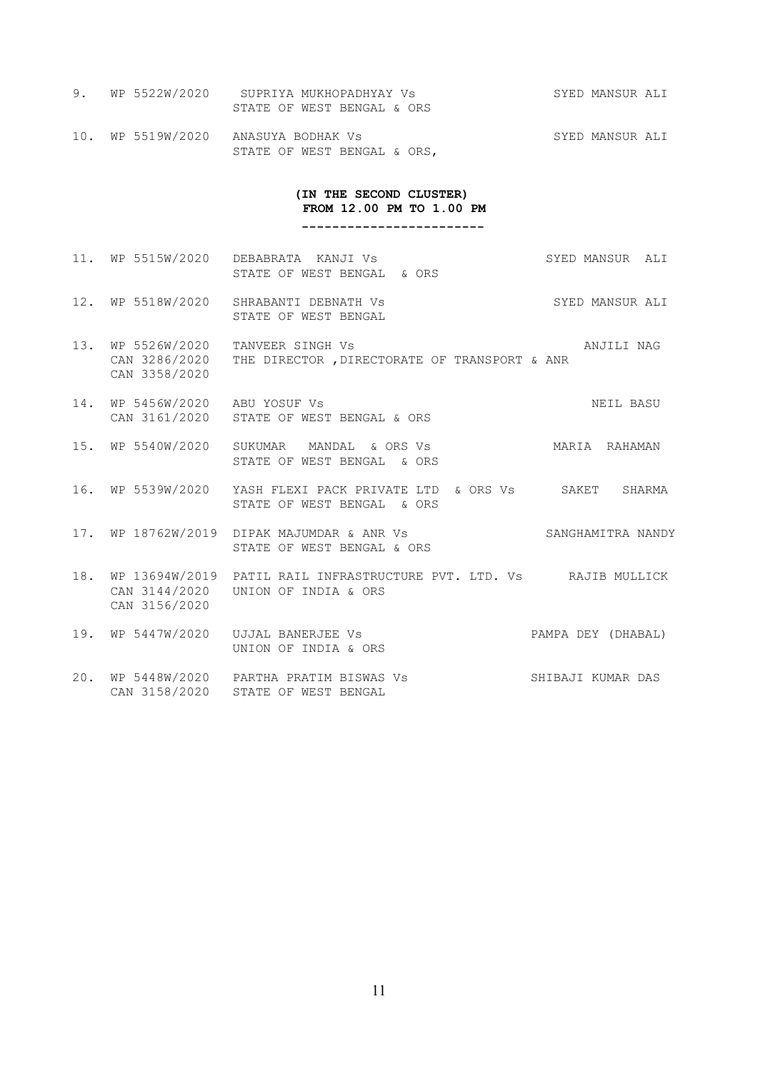- 9. WP 5522W/2020 SUPRIYA MUKHOPADHYAY Vs SYED MANSUR ALI STATE OF WEST BENGAL & ORS
- 10. WP 5519W/2020 ANASUYA BODHAK Vs SYED MANSUR ALI STATE OF WEST BENGAL & ORS,

#### (IN THE SECOND CLUSTER) FROM 12.00 PM TO 1.00 PM

------------------------

- 11. WP 5515W/2020 DEBABRATA KANJI Vs SYED MANSUR ALI STATE OF WEST BENGAL & ORS
- 12. WP 5518W/2020 SHRABANTI DEBNATH Vs SYED MANSUR ALI STATE OF WEST BENGAL
- 13. WP 5526W/2020 TANVEER SINGH Vs ANJILI NAG CAN 3286/2020 THE DIRECTOR ,DIRECTORATE OF TRANSPORT & ANR CAN 3358/2020
- 14. WP 5456W/2020 ABU YOSUF Vs NEIL BASU CAN 3161/2020 STATE OF WEST BENGAL & ORS
- 15. WP 5540W/2020 SUKUMAR MANDAL & ORS Vs MARIA RAHAMAN STATE OF WEST BENGAL & ORS
- 16. WP 5539W/2020 YASH FLEXI PACK PRIVATE LTD & ORS Vs SAKET SHARMA STATE OF WEST BENGAL & ORS
- 17. WP 18762W/2019 DIPAK MAJUMDAR & ANR Vs SANGHAMITRA NANDY STATE OF WEST BENGAL & ORS
- 18. WP 13694W/2019 PATIL RAIL INFRASTRUCTURE PVT. LTD. Vs RAJIB MULLICK CAN 3144/2020 UNION OF INDIA & ORS CAN 3156/2020
- 19. WP 5447W/2020 UJJAL BANERJEE Vs PAMPA DEY (DHABAL) UNION OF INDIA & ORS 20. WP 5448W/2020 PARTHA PRATIM BISWAS Vs SHIBAJI KUMAR DAS CAN 3158/2020 STATE OF WEST BENGAL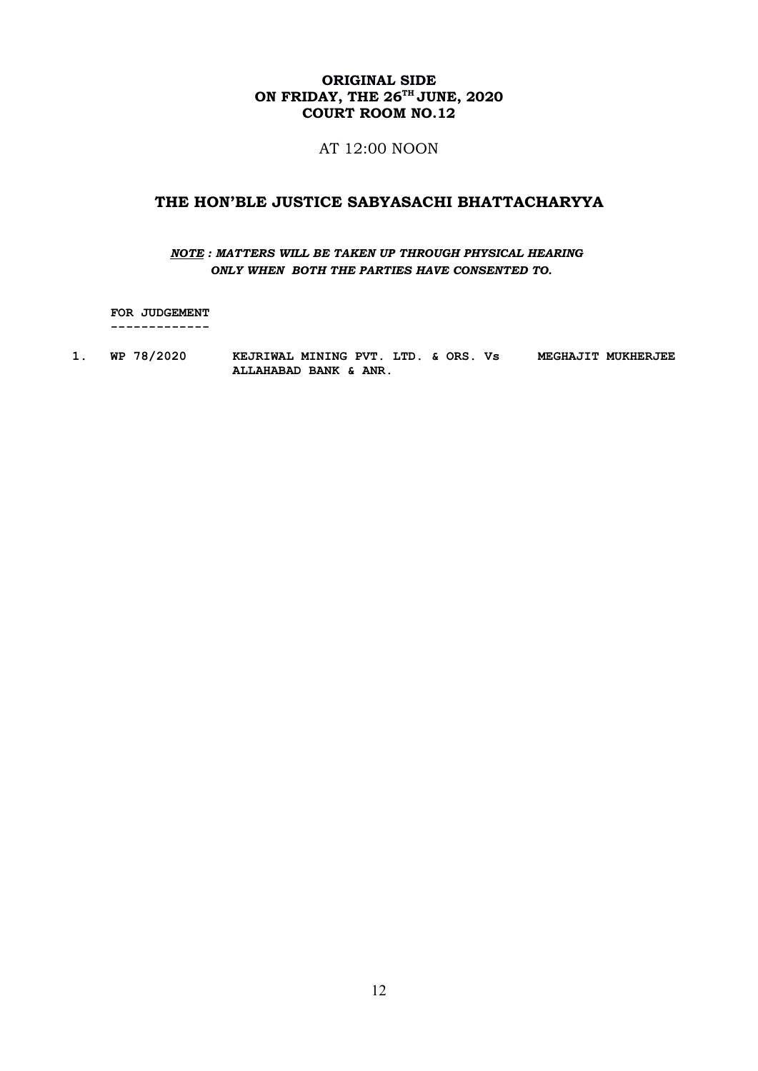# ORIGINAL SIDE ON FRIDAY, THE  $26^{\text{th}}$  JUNE,  $2020$ COURT ROOM NO.12

AT 12:00 NOON

# THE HON'BLE JUSTICE SABYASACHI BHATTACHARYYA

## NOTE : MATTERS WILL BE TAKEN UP THROUGH PHYSICAL HEARING ONLY WHEN BOTH THE PARTIES HAVE CONSENTED TO.

 FOR JUDGEMENT -------------

1. WP 78/2020 KEJRIWAL MINING PVT. LTD. & ORS. Vs MEGHAJIT MUKHERJEE ALLAHABAD BANK & ANR.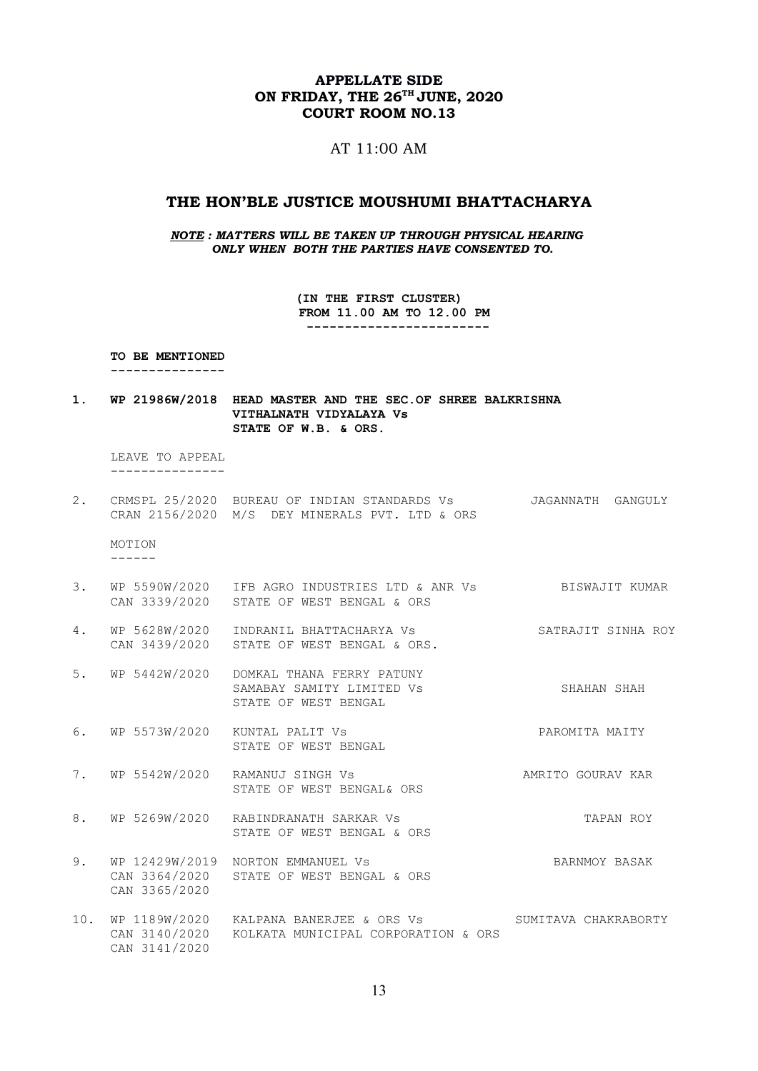## APPELLATE SIDE ON FRIDAY, THE 26<sup>TH</sup> JUNE, 2020 COURT ROOM NO.13

### AT 11:00 AM

### THE HON'BLE JUSTICE MOUSHUMI BHATTACHARYA

NOTE : MATTERS WILL BE TAKEN UP THROUGH PHYSICAL HEARING ONLY WHEN BOTH THE PARTIES HAVE CONSENTED TO.

> (IN THE FIRST CLUSTER) FROM 11.00 AM TO 12.00 PM ------------------------

TO BE MENTIONED

---------------

1. WP 21986W/2018 HEAD MASTER AND THE SEC.OF SHREE BALKRISHNA VITHALNATH VIDYALAYA Vs STATE OF W.B. & ORS.

 LEAVE TO APPEAL ---------------

2. CRMSPL 25/2020 BUREAU OF INDIAN STANDARDS Vs JAGANNATH GANGULY CRAN 2156/2020 M/S DEY MINERALS PVT. LTD & ORS

 MOTION ------

- 3. WP 5590W/2020 IFB AGRO INDUSTRIES LTD & ANR Vs BISWAJIT KUMAR CAN 3339/2020 STATE OF WEST BENGAL & ORS
- 4. WP 5628W/2020 INDRANIL BHATTACHARYA Vs SATRAJIT SINHA ROY CAN 3439/2020 STATE OF WEST BENGAL & ORS.
- 5. WP 5442W/2020 DOMKAL THANA FERRY PATUNY SAMABAY SAMITY LIMITED Vs SHAHAN SHAH STATE OF WEST BENGAL
- 6. WP 5573W/2020 KUNTAL PALIT Vs **PAROMITA MAITY** STATE OF WEST BENGAL
- 7. WP 5542W/2020 RAMANUJ SINGH Vs AMRITO GOURAV KAR STATE OF WEST BENGAL& ORS
- 8. WP 5269W/2020 RABINDRANATH SARKAR Vs TAPAN ROY STATE OF WEST BENGAL & ORS
- 9. WP 12429W/2019 NORTON EMMANUEL Vs BARNMOY BASAK CAN 3364/2020 STATE OF WEST BENGAL & ORS CAN 3365/2020
- 10. WP 1189W/2020 KALPANA BANERJEE & ORS Vs SUMITAVA CHAKRABORTY CAN 3140/2020 KOLKATA MUNICIPAL CORPORATION & ORS CAN 3141/2020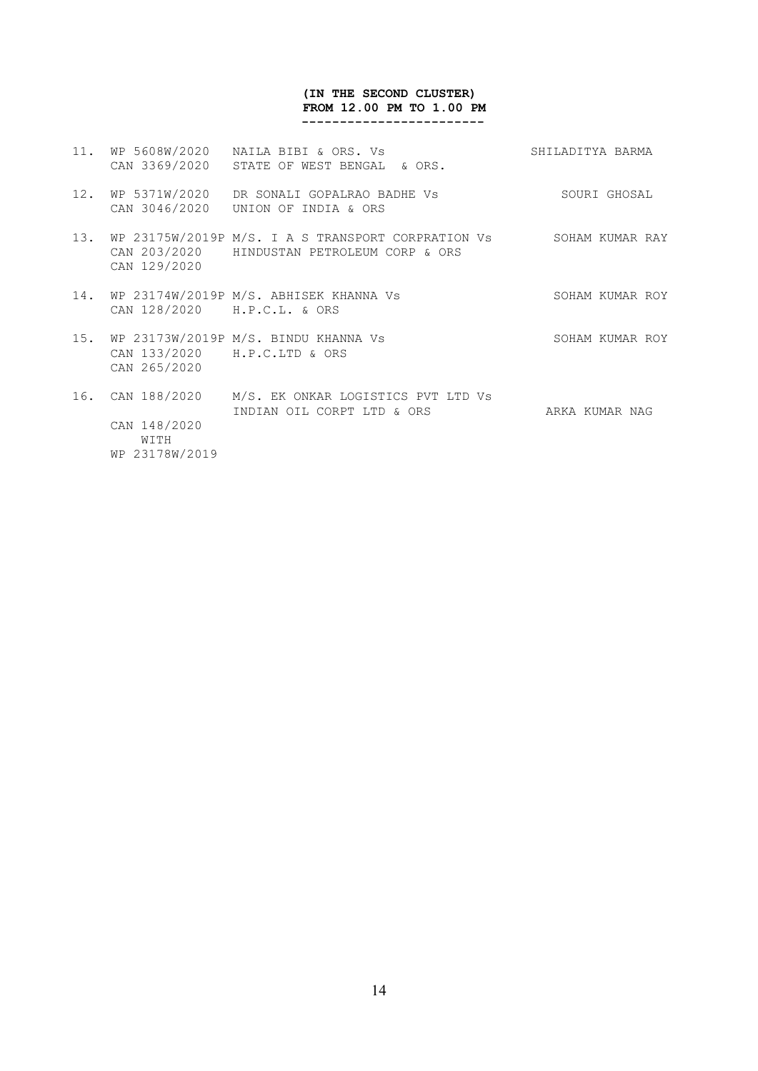#### (IN THE SECOND CLUSTER) FROM 12.00 PM TO 1.00 PM ------------------------

11. WP 5608W/2020 NAILA BIBI & ORS. Vs SHILADITYA BARMA CAN 3369/2020 STATE OF WEST BENGAL & ORS. 12. WP 5371W/2020 DR SONALI GOPALRAO BADHE Vs SOURI GHOSAL CAN 3046/2020 UNION OF INDIA & ORS 13. WP 23175W/2019P M/S. I A S TRANSPORT CORPRATION Vs SOHAM KUMAR RAY CAN 203/2020 HINDUSTAN PETROLEUM CORP & ORS CAN 129/2020 14. WP 23174W/2019P M/S. ABHISEK KHANNA Vs SOHAM KUMAR ROY CAN 128/2020 H.P.C.L. & ORS 15. WP 23173W/2019P M/S. BINDU KHANNA Vs SOHAM KUMAR ROY CAN 133/2020 H.P.C.LTD & ORS CAN 265/2020 16. CAN 188/2020 M/S. EK ONKAR LOGISTICS PVT LTD Vs INDIAN OIL CORPT LTD & ORS ARKA KUMAR NAG CAN 148/2020 WITH

WP 23178W/2019